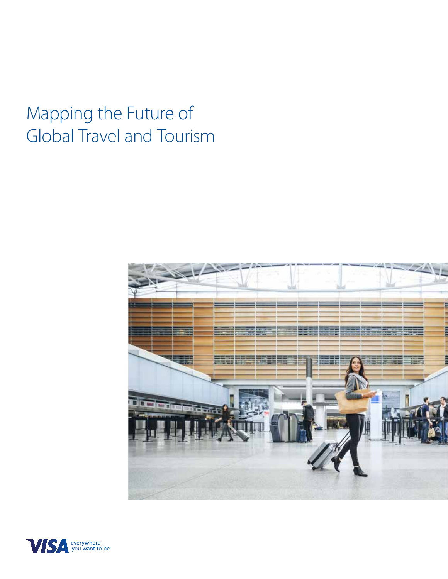# Mapping the Future of Global Travel and Tourism



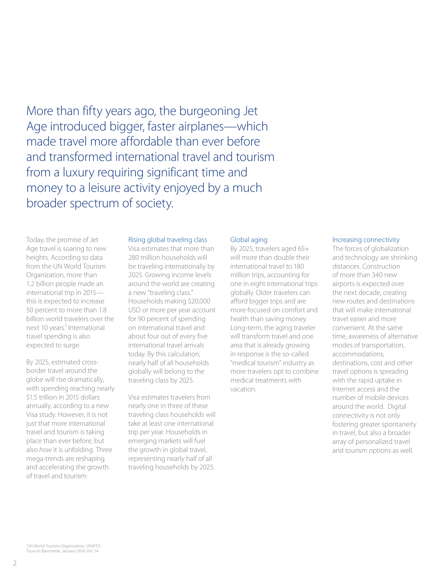More than fifty years ago, the burgeoning Jet Age introduced bigger, faster airplanes—which made travel more affordable than ever before and transformed international travel and tourism from a luxury requiring significant time and money to a leisure activity enjoyed by a much broader spectrum of society.

Today, the promise of Jet Age travel is soaring to new heights. According to data from the UN World Tourism Organization, more than 1.2 billion people made an international trip in 2015 this is expected to increase 50 percent to more than 1.8 billion world travelers over the next 10 years.<sup>1</sup> International travel spending is also expected to surge.

By 2025, estimated crossborder travel around the globe will rise dramatically, with spending reaching nearly \$1.5 trillion in 2015 dollars annually, according to a new Visa study. However, it is not just that more international travel and tourism is taking place than ever before, but also *how* it is unfolding. Three mega-trends are reshaping and accelerating the growth of travel and tourism:

#### Rising global traveling class

Visa estimates that more than 280 million households will be traveling internationally by 2025. Growing income levels around the world are creating a new "traveling class." Households making \$20,000 USD or more per year account for 90 percent of spending on international travel and about four out of every five international travel arrivals today. By this calculation, nearly half of all households globally will belong to the traveling class by 2025.

Visa estimates travelers from nearly one in three of these traveling class households will take at least one international trip per year. Households in emerging markets will fuel the growth in global travel, representing nearly half of all traveling households by 2025.

#### Global aging

By 2025, travelers aged 65+ will more than double their international travel to 180 million trips, accounting for one in eight international trips globally. Older travelers can afford bigger trips and are more focused on comfort and health than saving money. Long-term, the aging traveler will transform travel and one area that is already growing in response is the so-called "medical tourism" industry as more travelers opt to combine medical treatments with vacation.

#### Increasing connectivity

The forces of globalization and technology are shrinking distances. Construction of more than 340 new airports is expected over the next decade, creating new routes and destinations that will make international travel easier and more convenient. At the same time, awareness of alternative modes of transportation, accommodations, destinations, cost and other travel options is spreading with the rapid uptake in Internet access and the number of mobile devices around the world. Digital connectivity is not only fostering greater spontaneity in travel, but also a broader array of personalized travel and tourism options as well.

<sup>1</sup>UN World Tourism Organization, UNWTO Tourism Barometer, January 2016, Vol. 14.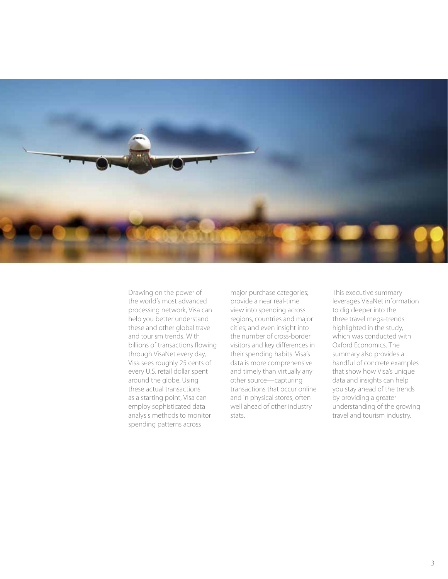

Drawing on the power of the world's most advanced processing network, Visa can help you better understand these and other global travel and tourism trends. With billions of transactions flowing through VisaNet every day, Visa sees roughly 25 cents of every U.S. retail dollar spent around the globe. Using these actual transactions as a starting point, Visa can employ sophisticated data analysis methods to monitor spending patterns across

major purchase categories; provide a near real-time view into spending across regions, countries and major cities; and even insight into the number of cross-border visitors and key differences in their spending habits. Visa's data is more comprehensive and timely than virtually any other source—capturing transactions that occur online and in physical stores, often well ahead of other industry stats.

This executive summary leverages VisaNet information to dig deeper into the three travel mega-trends highlighted in the study, which was conducted with Oxford Economics. The summary also provides a handful of concrete examples that show how Visa's unique data and insights can help you stay ahead of the trends by providing a greater understanding of the growing travel and tourism industry.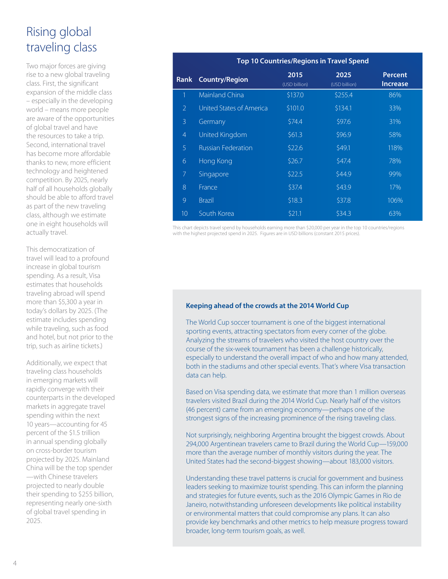# Rising global traveling class

Two major forces are giving rise to a new global traveling class. First, the significant expansion of the middle class – especially in the developing world – means more people are aware of the opportunities of global travel and have the resources to take a trip. Second, international travel has become more affordable thanks to new, more efficient technology and heightened competition. By 2025, nearly half of all households globally should be able to afford travel as part of the new traveling class, although we estimate one in eight households will actually travel.

This democratization of travel will lead to a profound increase in global tourism spending. As a result, Visa estimates that households traveling abroad will spend more than \$5,300 a year in today's dollars by 2025. (The estimate includes spending while traveling, such as food and hotel, but not prior to the trip, such as airline tickets.)

Additionally, we expect that traveling class households in emerging markets will rapidly converge with their counterparts in the developed markets in aggregate travel spending within the next 10 years—accounting for 45 percent of the \$1.5 trillion in annual spending globally on cross-border tourism projected by 2025. Mainland China will be the top spender —with Chinese travelers projected to nearly double their spending to \$255 billion, representing nearly one-sixth of global travel spending in 2025.

|                | <b>Top 10 Countries/Regions in Travel Spend</b> |                       |                       |                                   |  |  |  |
|----------------|-------------------------------------------------|-----------------------|-----------------------|-----------------------------------|--|--|--|
|                | <b>Rank Country/Region</b>                      | 2015<br>(USD billion) | 2025<br>(USD billion) | <b>Percent</b><br><b>Increase</b> |  |  |  |
| 1              | Mainland China                                  | \$137.0               | \$255.4               | 86%                               |  |  |  |
| $\overline{2}$ | United States of America                        | \$101.0               | \$134.1               | 33%                               |  |  |  |
| 3              | Germany                                         | \$74.4                | \$97.6                | 31%                               |  |  |  |
| $\overline{4}$ | United Kingdom                                  | \$61.3\$              | \$96.9                | 58%                               |  |  |  |
| 5              | <b>Russian Federation</b>                       | \$22.6                | \$49.1                | 118%                              |  |  |  |
| 6              | Hong Kong                                       | \$26.7                | \$47.4                | 78%                               |  |  |  |
| 7              | Singapore                                       | \$22.5                | \$44.9                | 99%                               |  |  |  |
| 8              | France                                          | \$37.4                | \$43.9                | 17%                               |  |  |  |
| 9              | <b>Brazil</b>                                   | \$18.3                | \$37.8                | 106%                              |  |  |  |
| 10             | South Korea                                     | \$21.1                | \$34.3                | 63%                               |  |  |  |

This chart depicts travel spend by households earning more than \$20,000 per year in the top 10 countries/regions with the highest projected spend in 2025. Figures are in USD billions (constant 2015 prices).

### **Keeping ahead of the crowds at the 2014 World Cup**

The World Cup soccer tournament is one of the biggest international sporting events, attracting spectators from every corner of the globe. Analyzing the streams of travelers who visited the host country over the course of the six-week tournament has been a challenge historically, especially to understand the overall impact of who and how many attended, both in the stadiums and other special events. That's where Visa transaction data can help.

Based on Visa spending data, we estimate that more than 1 million overseas travelers visited Brazil during the 2014 World Cup. Nearly half of the visitors (46 percent) came from an emerging economy—perhaps one of the strongest signs of the increasing prominence of the rising traveling class.

Not surprisingly, neighboring Argentina brought the biggest crowds. About 294,000 Argentinean travelers came to Brazil during the World Cup—159,000 more than the average number of monthly visitors during the year. The United States had the second-biggest showing—about 183,000 visitors.

Understanding these travel patterns is crucial for government and business leaders seeking to maximize tourist spending. This can inform the planning and strategies for future events, such as the 2016 Olympic Games in Rio de Janeiro, notwithstanding unforeseen developments like political instability or environmental matters that could compromise any plans. It can also provide key benchmarks and other metrics to help measure progress toward broader, long-term tourism goals, as well.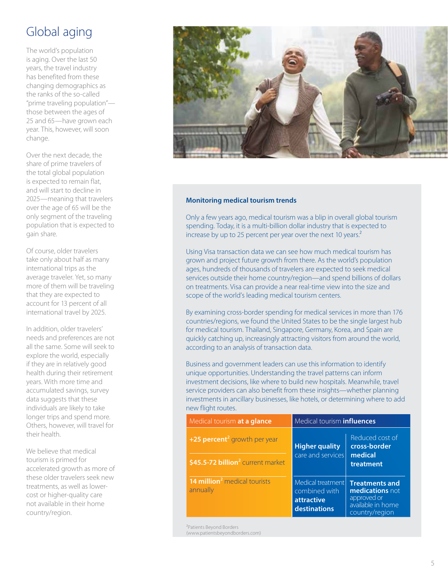# Global aging

The world's population is aging. Over the last 50 years, the travel industry has benefited from these changing demographics as the ranks of the so-called "prime traveling population" those between the ages of 25 and 65—have grown each year. This, however, will soon change.

Over the next decade, the share of prime travelers of the total global population is expected to remain flat, and will start to decline in 2025—meaning that travelers over the age of 65 will be the only segment of the traveling population that is expected to gain share.

Of course, older travelers take only about half as many international trips as the average traveler. Yet, so many more of them will be traveling that they are expected to account for 13 percent of all international travel by 2025.

In addition, older travelers' needs and preferences are not all the same. Some will seek to explore the world, especially if they are in relatively good health during their retirement years. With more time and accumulated savings, survey data suggests that these individuals are likely to take longer trips and spend more. Others, however, will travel for their health.

We believe that medical tourism is primed for accelerated growth as more of these older travelers seek new treatments, as well as lowercost or higher-quality care not available in their home country/region.



#### **Monitoring medical tourism trends**

Only a few years ago, medical tourism was a blip in overall global tourism spending. Today, it is a multi-billion dollar industry that is expected to increase by up to 25 percent per year over the next 10 years.<sup>2</sup>

Using Visa transaction data we can see how much medical tourism has grown and project future growth from there. As the world's population ages, hundreds of thousands of travelers are expected to seek medical services outside their home country/region—and spend billions of dollars on treatments. Visa can provide a near real-time view into the size and scope of the world's leading medical tourism centers.

By examining cross-border spending for medical services in more than 176 countries/regions, we found the United States to be the single largest hub for medical tourism. Thailand, Singapore, Germany, Korea, and Spain are quickly catching up, increasingly attracting visitors from around the world, according to an analysis of transaction data.

Business and government leaders can use this information to identify unique opportunities. Understanding the travel patterns can inform investment decisions, like where to build new hospitals. Meanwhile, travel service providers can also benefit from these insights—whether planning investments in ancillary businesses, like hotels, or determining where to add new flight routes.

| Medical tourism at a glance                                | Medical tourism <b>influences</b>                                |                                                                                                       |  |
|------------------------------------------------------------|------------------------------------------------------------------|-------------------------------------------------------------------------------------------------------|--|
| $+25$ percent <sup>2</sup> growth per year                 | <b>Higher quality</b>                                            | Reduced cost of<br>cross-border<br>medical<br>treatment                                               |  |
| \$45.5-72 billion <sup>2</sup> current market              | care and services                                                |                                                                                                       |  |
| <b>14 million<sup>2</sup></b> medical tourists<br>annually | Medical treatment<br>combined with<br>attractive<br>destinations | <b>Treatments and</b><br><b>medications</b> not<br>approved or<br>available in home<br>country/region |  |

²Patients Beyond Borders

(www.patientsbeyondborders.com)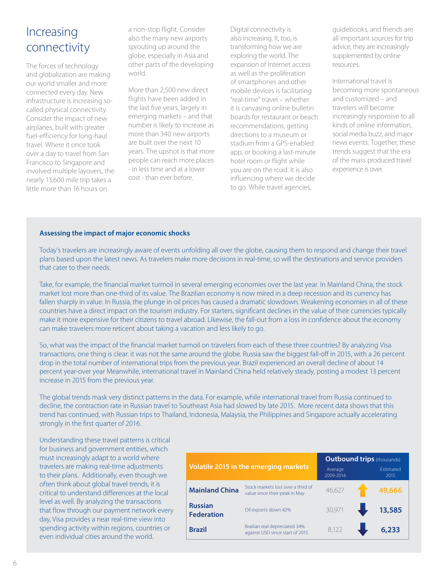### Increasing connectivity

The forces of technology and globalization are making our world smaller and more connected every day. New infrastructure is increasing socalled physical connectivity. Consider the impact of new airplanes, built with greater fuel-efficiency for long-haul travel. Where it once took over a day to travel from San Francisco to Singapore and involved multiple layovers, the nearly 13,600 mile trip takes a little more than 16 hours on

a non-stop flight. Consider also the many new airports sprouting up around the globe, especially in Asia and other parts of the developing world.

More than 2,500 new direct flights have been added in the last five years, largely in emerging markets – and that number is likely to increase as more than 340 new airports are built over the next 10 years. The upshot is that more people can reach more places - in less time and at a lower cost - than ever before.

Digital connectivity is also increasing. It, too, is transforming how we are exploring the world. The expansion of Internet access as well as the proliferation of smartphones and other mobile devices is facilitating "real-time" travel – whether it is canvasing online bulletin boards for restaurant or beach recommendations, getting directions to a museum or stadium from a GPS-enabled app, or booking a last-minute hotel room or flight while you are on the road. It is also influencing where we decide to go. While travel agencies,

guidebooks, and friends are all important sources for trip advice, they are increasingly supplemented by online resources.

International travel is becoming more spontaneous and customized – and travelers will become increasingly responsive to all kinds of online information, social media buzz, and major news events. Together, these trends suggest that the era of the mass produced travel experience is over.

### **Assessing the impact of major economic shocks**

Today's travelers are increasingly aware of events unfolding all over the globe, causing them to respond and change their travel plans based upon the latest news. As travelers make more decisions in real-time, so will the destinations and service providers that cater to their needs.

Take, for example, the financial market turmoil in several emerging economies over the last year. In Mainland China, the stock market lost more than one-third of its value. The Brazilian economy is now mired in a deep recession and its currency has fallen sharply in value. In Russia, the plunge in oil prices has caused a dramatic slowdown. Weakening economies in all of these countries have a direct impact on the tourism industry. For starters, significant declines in the value of their currencies typically make it more expensive for their citizens to travel abroad. Likewise, the fall-out from a loss in confidence about the economy can make travelers more reticent about taking a vacation and less likely to go.

So, what was the impact of the financial market turmoil on travelers from each of these three countries? By analyzing Visa transactions, one thing is clear: it was not the same around the globe. Russia saw the biggest fall-off in 2015, with a 26 percent drop in the total number of international trips from the previous year. Brazil experienced an overall decline of about 14 percent year-over year Meanwhile, international travel in Mainland China held relatively steady, posting a modest 13 percent increase in 2015 from the previous year.

The global trends mask very distinct patterns in the data. For example, while international travel from Russia continued to decline, the contraction rate in Russian travel to Southeast Asia had slowed by late 2015. More recent data shows that this trend has continued, with Russian trips to Thailand, Indonesia, Malaysia, the Philippines and Singapore actually accelerating strongly in the first quarter of 2016.

Understanding these travel patterns is critical for business and government entities, which must increasingly adapt to a world where travelers are making real-time adjustments to their plans. Additionally, even though we often think about global travel trends, it is critical to understand differences at the local level as well. By analyzing the transactions that flow through our payment network every day, Visa provides a near real-time view into spending activity within regions, countries or even individual cities around the world.

|                                       | <b>Outbound trips (thousands)</b>                                   |                      |  |                   |
|---------------------------------------|---------------------------------------------------------------------|----------------------|--|-------------------|
| Volatile 2015 in the emerging markets |                                                                     | Average<br>2009-2014 |  | Estimated<br>2015 |
| <b>Mainland China</b>                 | Stock markets lost over a third of<br>value since their peak in May | 46,627               |  | 49,666            |
| <b>Russian</b><br><b>Federation</b>   | Oil exports down 42%                                                | 30,971               |  | 13,585            |
| <b>Brazil</b>                         | Brailian real depreciated 34%<br>against USD since start of 2015    | 8,122                |  | 6,233             |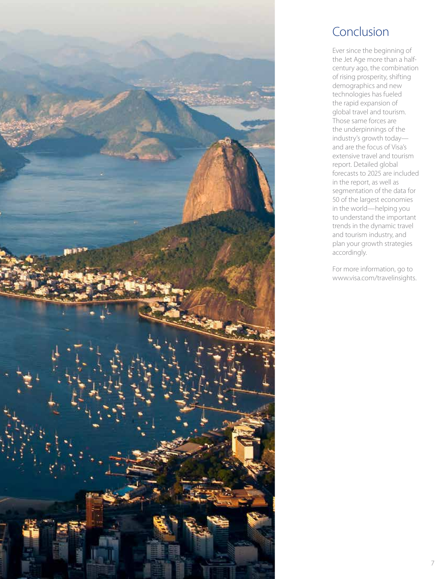

# Conclusion

Ever since the beginning of the Jet Age more than a halfcentury ago, the combination of rising prosperity, shifting demographics and new technologies has fueled the rapid expansion of global travel and tourism. Those same forces are the underpinnings of the industry's growth today and are the focus of Visa's extensive travel and tourism report. Detailed global forecasts to 2025 are included in the report, as well as segmentation of the data for 50 of the largest economies in the world—helping you to understand the important trends in the dynamic travel and tourism industry, and plan your growth strategies accordingly.

For more information, go to www.visa.com/travelinsights.